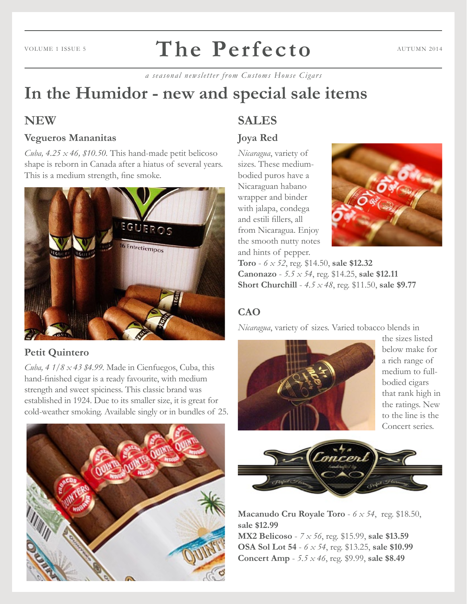#### **The Perfecto** VOLUME 1 ISSUE 5  $\blacksquare$   $\blacksquare$   $\blacksquare$   $\blacksquare$   $\blacksquare$   $\blacksquare$   $\blacksquare$   $\blacksquare$   $\blacksquare$   $\blacksquare$   $\blacksquare$   $\blacksquare$   $\blacksquare$   $\blacksquare$   $\blacksquare$   $\blacksquare$   $\blacksquare$   $\blacksquare$   $\blacksquare$   $\blacksquare$   $\blacksquare$   $\blacksquare$   $\blacksquare$   $\blacksquare$   $\blacksquare$   $\blacksquare$   $\blacksquare$   $\blacksquare$   $\blacksquare$

*a seasonal newsletter from Customs House Cigars*

# **In the Humidor - new and special sale items**

## **NEW**

#### **Vegueros Mananitas**

*Cuba, 4.25*  $\times$  *46, \$10.50.* This hand-made petit belicoso shape is reborn in Canada after a hiatus of several years. This is a medium strength, fine smoke.



#### **Petit Quintero**

*Cuba, 4 1/8 x 43 \$4.99.* Made in Cienfuegos, Cuba, this hand-finished cigar is a ready favourite, with medium strength and sweet spiciness. This classic brand was established in 1924. Due to its smaller size, it is great for cold-weather smoking. Available singly or in bundles of 25.



## **SALES**

### **Joya Red**

*Nicaragua*, variety of sizes. These mediumbodied puros have a Nicaraguan habano wrapper and binder with jalapa, condega and estili fillers, all from Nicaragua. Enjoy the smooth nutty notes and hints of pepper.



**Toro** - *6 x 52*, reg. \$14.50, **sale \$12.32 Canonazo** - *5.5 x 54*, reg. \$14.25, **sale \$12.11 Short Churchill** - *4.5 x 48*, reg. \$11.50, **sale \$9.77**

## **CAO**

*Nicaragua*, variety of sizes. Varied tobacco blends in



the sizes listed below make for a rich range of medium to fullbodied cigars that rank high in the ratings. New to the line is the Concert series.



**Macanudo Cru Royale Toro** - *6 x 54*, reg. \$18.50, **sale \$12.99 MX2 Belicoso** - *7 x 56*, reg. \$15.99, **sale \$13.59 OSA Sol Lot 54** - *6 x 54*, reg. \$13.25, **sale \$10.99 Concert Amp** - *5.5 x 46*, reg. \$9.99, **sale \$8.49**